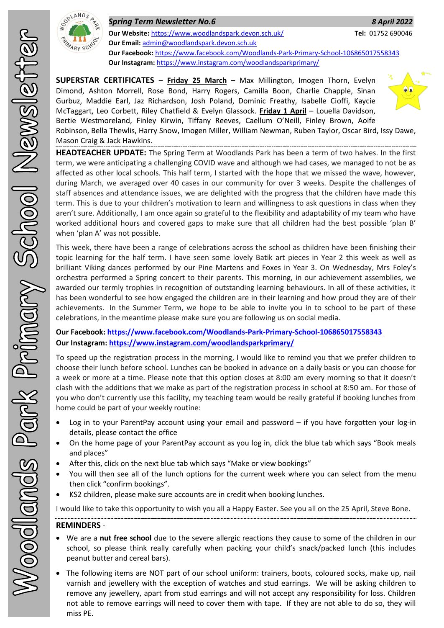

*Spring Term Newsletter No.6 8 April 2022* **Our Website:** <https://www.woodlandspark.devon.sch.uk/> **Tel:** 01752 690046 **Our Email:** [admin@woodlandspark.devon.sch.uk](mailto:admin@woodlandspark.devon.sch.uk) **Our Facebook:** <https://www.facebook.com/Woodlands-Park-Primary-School-106865017558343> **Our Instagram:** <https://www.instagram.com/woodlandsparkprimary/>

**SUPERSTAR CERTIFICATES** – **Friday 25 March –** Max Millington, Imogen Thorn, Evelyn Dimond, Ashton Morrell, Rose Bond, Harry Rogers, Camilla Boon, Charlie Chapple, Sinan Gurbuz, Maddie Earl, Jaz Richardson, Josh Poland, Dominic Freathy, Isabelle Cioffi, Kaycie McTaggart, Leo Corbett, Riley Chatfield & Evelyn Glassock. **Friday 1 April** – Louella Davidson, Bertie Westmoreland, Finley Kirwin, Tiffany Reeves, Caellum O'Neill, Finley Brown, Aoife



Robinson, Bella Thewlis, Harry Snow, Imogen Miller, William Newman, Ruben Taylor, Oscar Bird, Issy Dawe, Mason Craig & Jack Hawkins.

**HEADTEACHER UPDATE:** The Spring Term at Woodlands Park has been a term of two halves. In the first term, we were anticipating a challenging COVID wave and although we had cases, we managed to not be as affected as other local schools. This half term, I started with the hope that we missed the wave, however, during March, we averaged over 40 cases in our community for over 3 weeks. Despite the challenges of staff absences and attendance issues, we are delighted with the progress that the children have made this term. This is due to your children's motivation to learn and willingness to ask questions in class when they aren't sure. Additionally, I am once again so grateful to the flexibility and adaptability of my team who have worked additional hours and covered gaps to make sure that all children had the best possible 'plan B' when 'plan A' was not possible.

This week, there have been a range of celebrations across the school as children have been finishing their topic learning for the half term. I have seen some lovely Batik art pieces in Year 2 this week as well as brilliant Viking dances performed by our Pine Martens and Foxes in Year 3. On Wednesday, Mrs Foley's orchestra performed a Spring concert to their parents. This morning, in our achievement assemblies, we awarded our termly trophies in recognition of outstanding learning behaviours. In all of these activities, it has been wonderful to see how engaged the children are in their learning and how proud they are of their achievements. In the Summer Term, we hope to be able to invite you in to school to be part of these celebrations, in the meantime please make sure you are following us on social media.

### **Our Facebook:<https://www.facebook.com/Woodlands-Park-Primary-School-106865017558343> Our Instagram[: https://www.instagram.com/woodlandsparkprimary/](https://www.instagram.com/woodlandsparkprimary/)**

To speed up the registration process in the morning, I would like to remind you that we prefer children to choose their lunch before school. Lunches can be booked in advance on a daily basis or you can choose for a week or more at a time. Please note that this option closes at 8:00 am every morning so that it doesn't clash with the additions that we make as part of the registration process in school at 8:50 am. For those of you who don't currently use this facility, my teaching team would be really grateful if booking lunches from home could be part of your weekly routine:

- Log in to your ParentPay account using your email and password if you have forgotten your log-in details, please contact the office
- On the home page of your ParentPay account as you log in, click the blue tab which says "Book meals and places"
- After this, click on the next blue tab which says "Make or view bookings"
- You will then see all of the lunch options for the current week where you can select from the menu then click "confirm bookings".
- KS2 children, please make sure accounts are in credit when booking lunches.

I would like to take this opportunity to wish you all a Happy Easter. See you all on the 25 April, Steve Bone.

## **REMINDERS** -

- We are a **nut free school** due to the severe allergic reactions they cause to some of the children in our school, so please think really carefully when packing your child's snack/packed lunch (this includes peanut butter and cereal bars).
- The following items are NOT part of our school uniform: trainers, boots, coloured socks, make up, nail varnish and jewellery with the exception of watches and stud earrings. We will be asking children to remove any jewellery, apart from stud earrings and will not accept any responsibility for loss. Children not able to remove earrings will need to cover them with tape. If they are not able to do so, they will miss PE.